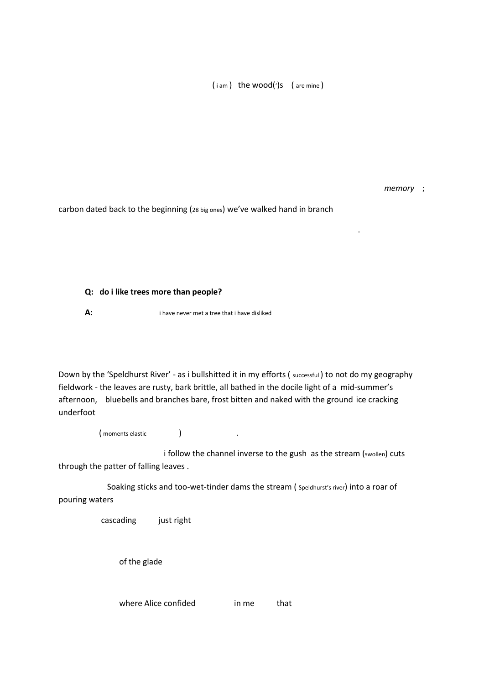(iam) the wood(')s (are mine)

*memory* ;

carbon dated back to the beginning (28 big ones) we've walked hand in branch

.

## **Q: do i like trees more than people?**

## **A:** i have never met a tree that i have disliked

Down by the 'Speldhurst River' - as i bullshitted it in my efforts ( successful ) to not do my geography fieldwork - the leaves are rusty, bark brittle, all bathed in the docile light of a mid-summer's afternoon, bluebells and branches bare, frost bitten and naked with the ground ice cracking underfoot

( moments elastic ) and ( moments elastic degree  $\overline{\phantom{a}}$  ) and (  $\overline{\phantom{a}}$  ) and (  $\overline{\phantom{a}}$  ) and (  $\overline{\phantom{a}}$  ) and (  $\overline{\phantom{a}}$  ) and (  $\overline{\phantom{a}}$  ) and (  $\overline{\phantom{a}}$  ) and (  $\overline{\phantom{a}}$  ) and (  $\overline{\phantom{a}}$  )

i follow the channel inverse to the gush as the stream (swollen) cuts through the patter of falling leaves .

 Soaking sticks and too-wet-tinder dams the stream ( Speldhurst's river) into a roar of pouring waters

cascading just right

of the glade

where Alice confided in me that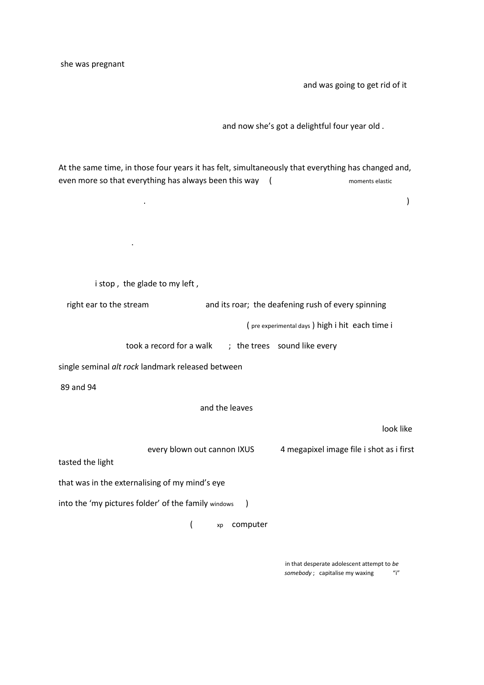she was pregnant

.

and was going to get rid of it

and now she's got a delightful four year old .

At the same time, in those four years it has felt, simultaneously that everything has changed and, even more so that everything has always been this way (
moments elastic

. The contract of the contract of the contract of the contract of the contract of the contract of the contract of the contract of the contract of the contract of the contract of the contract of the contract of the contrac

|                                                                  | i stop, the glade to my left,                         |    |                                                    |                                          |
|------------------------------------------------------------------|-------------------------------------------------------|----|----------------------------------------------------|------------------------------------------|
|                                                                  | right ear to the stream                               |    | and its roar; the deafening rush of every spinning |                                          |
|                                                                  | (pre experimental days) high i hit each time i        |    |                                                    |                                          |
|                                                                  | took a record for a walk ; the trees sound like every |    |                                                    |                                          |
| single seminal alt rock landmark released between                |                                                       |    |                                                    |                                          |
| 89 and 94                                                        |                                                       |    |                                                    |                                          |
| and the leaves                                                   |                                                       |    |                                                    |                                          |
|                                                                  |                                                       |    |                                                    | look like                                |
| tasted the light                                                 | every blown out cannon IXUS                           |    |                                                    | 4 megapixel image file i shot as i first |
| that was in the externalising of my mind's eye                   |                                                       |    |                                                    |                                          |
| into the 'my pictures folder' of the family windows<br>$\lambda$ |                                                       |    |                                                    |                                          |
|                                                                  |                                                       | xp | computer                                           |                                          |

 in that desperate adolescent attempt to *be*  somebody ; capitalise my waxing  $"i"$